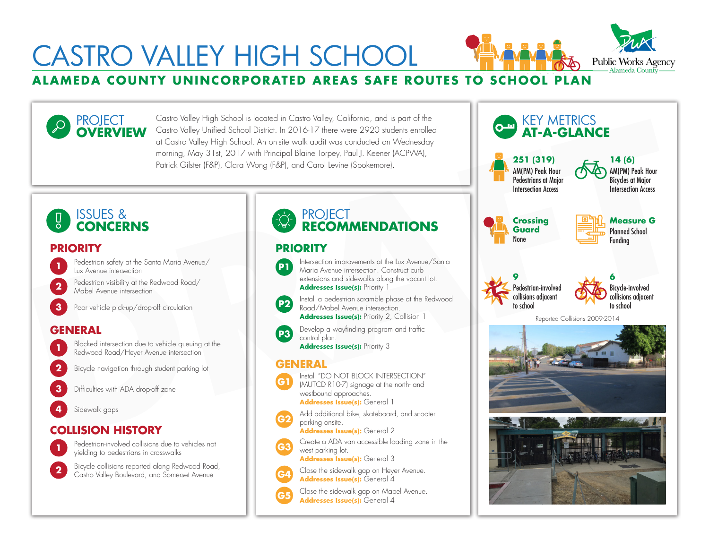# **SAFE ROUNTY UNINCORPORATED AREAS SAFE ROUTES TO SCHOOL PLAN** Alameda County **Alameda County** Alameda County **Alameda County** CASTRO VALLEY HIGH SCHOOL



**OVERVIEW** Castro Valley High School is located in Castro Valley, California, and is part of the Castro Valley Unified School District. In 2016-17 there were 2920 students enrolled at Castro Valley High School. An on-site walk audit was conducted on Wednesday morning, May 31st, 2017 with Principal Blaine Torpey, Paul J. Keener (ACPWA), Patrick Gilster (F&P), Clara Wong (F&P), and Carol Levine (Spokemore).

## ISSUES & **CONCERNS**

PROJECT

## **PRIORITY PRIORITY**

- Pedestrian safety at the Santa Maria Avenue/ **Lux Avenue intersection**
- Pedestrian visibility at the Redwood Road/ Mabel Avenue intersection **2**

**3** Poor vehicle pick-up/drop-off circulation

# **GENERAL**



Blocked intersection due to vehicle queuing at the Redwood Road/Heyer Avenue intersection **1**

**2** Bicycle navigation through student parking lot

**3** Difficulties with ADA drop-off zone

**4** Sidewalk gaps



Pedestrian-involved collisions due to vehicles not yielding to pedestrians in crosswalks **1**

Bicycle collisions reported along Redwood Road, Castro Valley Boulevard, and Somerset Avenue **2**

# **PROJECT RECOMMENDATIONS**



**P3**

Intersection improvements at the Lux Avenue/Santa Maria Avenue intersection. Construct curb extensions and sidewalks along the vacant lot. Addresses Issue(s): Priority 1

**P2** Install a pedestrian scramble phase at the Redwood Road/Mabel Avenue intersection. **Addresses Issue(s):** Priority 2, Collision 1

> Develop a wayfinding program and traffic control plan.

**Addresses Issue(s):** Priority 3

### **GENERAL**



(MUTCD R10-7) signage at the north- and westbound approaches. **Addresses Issue(s): General 1** 

Add additional bike, skateboard, and scooter parking onsite. **G2**

**Addresses Issue(s):** General 2

Create a ADA van accessible loading zone in the west parking lot. **G3**

**Addresses Issue(s):** General 3



**Addresses Issue(s):** General 4

Close the sidewalk gap on Mabel Avenue.<br>**Addresses Issue(s):** General 4